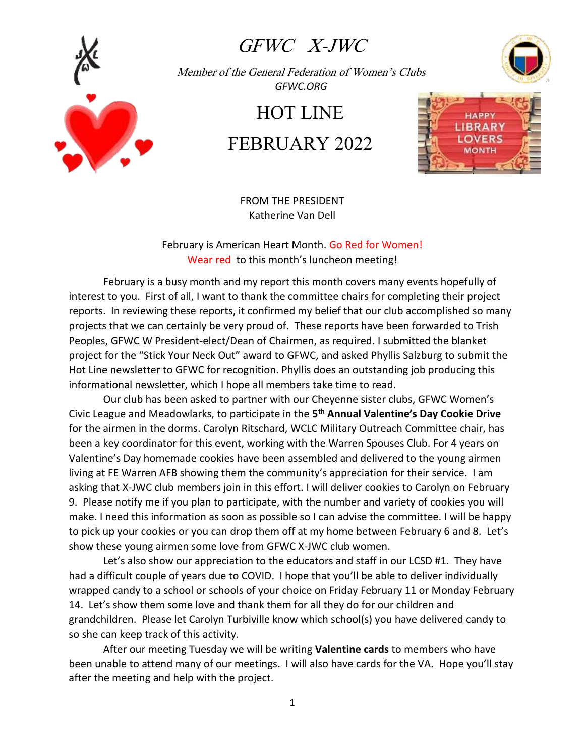

## GFWC X-JWC

Member of the General Federation of Women's Clubs  *GFWC.ORG*

## HOT LINE

# FEBRUARY 2022



FROM THE PRESIDENT Katherine Van Dell

February is American Heart Month. Go Red for Women! Wear red to this month's luncheon meeting!

February is a busy month and my report this month covers many events hopefully of interest to you. First of all, I want to thank the committee chairs for completing their project reports. In reviewing these reports, it confirmed my belief that our club accomplished so many projects that we can certainly be very proud of. These reports have been forwarded to Trish Peoples, GFWC W President-elect/Dean of Chairmen, as required. I submitted the blanket project for the "Stick Your Neck Out" award to GFWC, and asked Phyllis Salzburg to submit the Hot Line newsletter to GFWC for recognition. Phyllis does an outstanding job producing this informational newsletter, which I hope all members take time to read.

Our club has been asked to partner with our Cheyenne sister clubs, GFWC Women's Civic League and Meadowlarks, to participate in the **5 th Annual Valentine's Day Cookie Drive**  for the airmen in the dorms. Carolyn Ritschard, WCLC Military Outreach Committee chair, has been a key coordinator for this event, working with the Warren Spouses Club. For 4 years on Valentine's Day homemade cookies have been assembled and delivered to the young airmen living at FE Warren AFB showing them the community's appreciation for their service. I am asking that X-JWC club members join in this effort. I will deliver cookies to Carolyn on February 9. Please notify me if you plan to participate, with the number and variety of cookies you will make. I need this information as soon as possible so I can advise the committee. I will be happy to pick up your cookies or you can drop them off at my home between February 6 and 8. Let's show these young airmen some love from GFWC X-JWC club women.

Let's also show our appreciation to the educators and staff in our LCSD #1. They have had a difficult couple of years due to COVID. I hope that you'll be able to deliver individually wrapped candy to a school or schools of your choice on Friday February 11 or Monday February 14. Let's show them some love and thank them for all they do for our children and grandchildren. Please let Carolyn Turbiville know which school(s) you have delivered candy to so she can keep track of this activity.

After our meeting Tuesday we will be writing **Valentine cards** to members who have been unable to attend many of our meetings. I will also have cards for the VA. Hope you'll stay after the meeting and help with the project.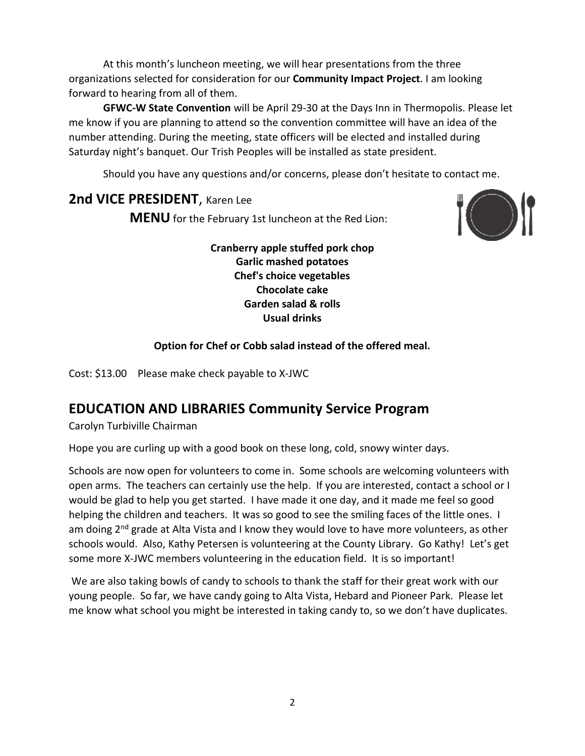At this month's luncheon meeting, we will hear presentations from the three organizations selected for consideration for our **Community Impact Project**. I am looking forward to hearing from all of them.

**GFWC-W State Convention** will be April 29-30 at the Days Inn in Thermopolis. Please let me know if you are planning to attend so the convention committee will have an idea of the number attending. During the meeting, state officers will be elected and installed during Saturday night's banquet. Our Trish Peoples will be installed as state president.

Should you have any questions and/or concerns, please don't hesitate to contact me.

#### **2nd VICE PRESIDENT**, Karen Lee

**MENU** for the February 1st luncheon at the Red Lion:



**Cranberry apple stuffed pork chop Garlic mashed potatoes Chef's choice vegetables Chocolate cake Garden salad & rolls Usual drinks**

#### **Option for Chef or Cobb salad instead of the offered meal.**

Cost: \$13.00 Please make check payable to X-JWC

### **EDUCATION AND LIBRARIES Community Service Program**

Carolyn Turbiville Chairman

Hope you are curling up with a good book on these long, cold, snowy winter days.

Schools are now open for volunteers to come in. Some schools are welcoming volunteers with open arms. The teachers can certainly use the help. If you are interested, contact a school or I would be glad to help you get started. I have made it one day, and it made me feel so good helping the children and teachers. It was so good to see the smiling faces of the little ones. I am doing 2<sup>nd</sup> grade at Alta Vista and I know they would love to have more volunteers, as other schools would. Also, Kathy Petersen is volunteering at the County Library. Go Kathy! Let's get some more X-JWC members volunteering in the education field. It is so important!

We are also taking bowls of candy to schools to thank the staff for their great work with our young people. So far, we have candy going to Alta Vista, Hebard and Pioneer Park. Please let me know what school you might be interested in taking candy to, so we don't have duplicates.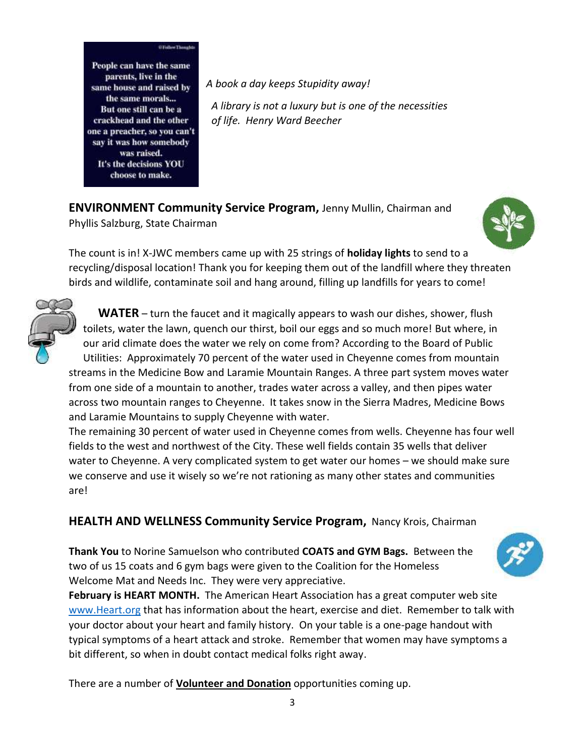People can have the same parents, live in the same house and raised by the same morals... But one still can be a crackhead and the other one a preacher, so you can't say it was how somebody was raised. It's the decisions YOU choose to make.

*A book a day keeps Stupidity away!*

 *A library is not a luxury but is one of the necessities of life. Henry Ward Beecher*

**ENVIRONMENT Community Service Program,** Jenny Mullin, Chairman and Phyllis Salzburg, State Chairman



The count is in! X-JWC members came up with 25 strings of **holiday lights** to send to a recycling/disposal location! Thank you for keeping them out of the landfill where they threaten birds and wildlife, contaminate soil and hang around, filling up landfills for years to come!



 **WATER** – turn the faucet and it magically appears to wash our dishes, shower, flush toilets, water the lawn, quench our thirst, boil our eggs and so much more! But where, in our arid climate does the water we rely on come from? According to the Board of Public Utilities: Approximately 70 percent of the water used in Cheyenne comes from mountain streams in the Medicine Bow and Laramie Mountain Ranges. A three part system moves water from one side of a mountain to another, trades water across a valley, and then pipes water across two mountain ranges to Cheyenne. It takes snow in the Sierra Madres, Medicine Bows and Laramie Mountains to supply Cheyenne with water.

The remaining 30 percent of water used in Cheyenne comes from wells. Cheyenne has four well fields to the west and northwest of the City. These well fields contain 35 wells that deliver water to Cheyenne. A very complicated system to get water our homes – we should make sure we conserve and use it wisely so we're not rationing as many other states and communities are!

**HEALTH AND WELLNESS Community Service Program,** Nancy Krois, Chairman

**Thank You** to Norine Samuelson who contributed **COATS and GYM Bags.** Between the two of us 15 coats and 6 gym bags were given to the Coalition for the Homeless Welcome Mat and Needs Inc. They were very appreciative.



**February is HEART MONTH.** The American Heart Association has a great computer web site [www.Heart.org](http://www.heart.org/) that has information about the heart, exercise and diet. Remember to talk with your doctor about your heart and family history. On your table is a one-page handout with typical symptoms of a heart attack and stroke. Remember that women may have symptoms a bit different, so when in doubt contact medical folks right away.

There are a number of **Volunteer and Donation** opportunities coming up.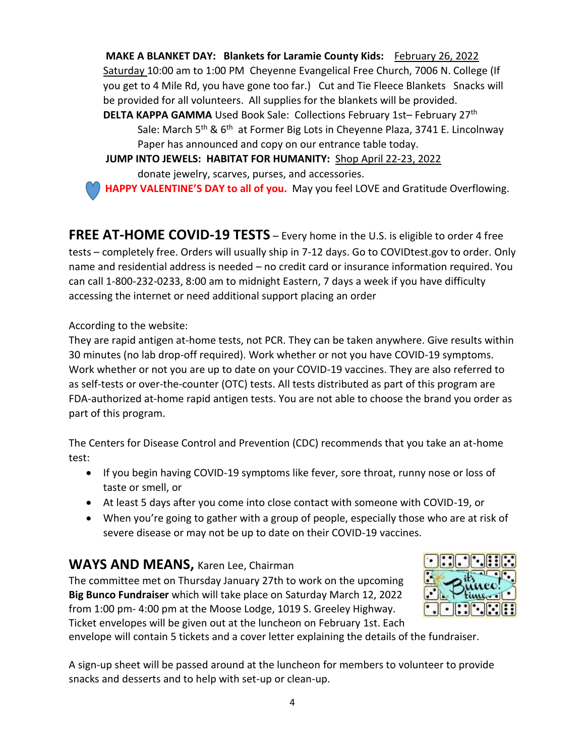**MAKE A BLANKET DAY: Blankets for Laramie County Kids:** February 26, 2022 Saturday 10:00 am to 1:00 PM Cheyenne Evangelical Free Church, 7006 N. College (If you get to 4 Mile Rd, you have gone too far.) Cut and Tie Fleece Blankets Snacks will be provided for all volunteers. All supplies for the blankets will be provided. **DELTA KAPPA GAMMA** Used Book Sale: Collections February 1st– February 27<sup>th</sup>

Sale: March 5<sup>th</sup> & 6<sup>th</sup> at Former Big Lots in Cheyenne Plaza, 3741 E. Lincolnway Paper has announced and copy on our entrance table today.

**JUMP INTO JEWELS: HABITAT FOR HUMANITY:** Shop April 22-23, 2022

donate jewelry, scarves, purses, and accessories.

**HAPPY VALENTINE'S DAY to all of you.** May you feel LOVE and Gratitude Overflowing.

**FREE AT-HOME COVID-19 TESTS** – Every home in the U.S. is eligible to order 4 free tests – completely free. Orders will usually ship in 7-12 days. Go to COVIDtest.gov to order. Only name and residential address is needed – no credit card or insurance information required. You can call 1-800-232-0233, 8:00 am to midnight Eastern, 7 days a week if you have difficulty accessing the internet or need additional support placing an order

According to the website:

They are rapid antigen at-home tests, not PCR. They can be taken anywhere. Give results within 30 minutes (no lab drop-off required). Work whether or not you have COVID-19 symptoms. Work whether or not you are up to date on your COVID-19 vaccines. They are also referred to as self-tests or over-the-counter (OTC) tests. All tests distributed as part of this program are FDA-authorized at-home rapid antigen tests. You are not able to choose the brand you order as part of this program.

The Centers for Disease Control and Prevention (CDC) recommends that you take an at-home test:

- If you begin having COVID-19 symptoms like fever, sore throat, runny nose or loss of taste or smell, or
- At least 5 days after you come into close contact with someone with COVID-19, or
- When you're going to gather with a group of people, especially those who are at risk of severe disease or may not be up to date on their COVID-19 vaccines.

### **WAYS AND MEANS,** Karen Lee, Chairman

The committee met on Thursday January 27th to work on the upcoming **Big Bunco Fundraiser** which will take place on Saturday March 12, 2022 from 1:00 pm- 4:00 pm at the Moose Lodge, 1019 S. Greeley Highway. Ticket envelopes will be given out at the luncheon on February 1st. Each



envelope will contain 5 tickets and a cover letter explaining the details of the fundraiser.

A sign-up sheet will be passed around at the luncheon for members to volunteer to provide snacks and desserts and to help with set-up or clean-up.